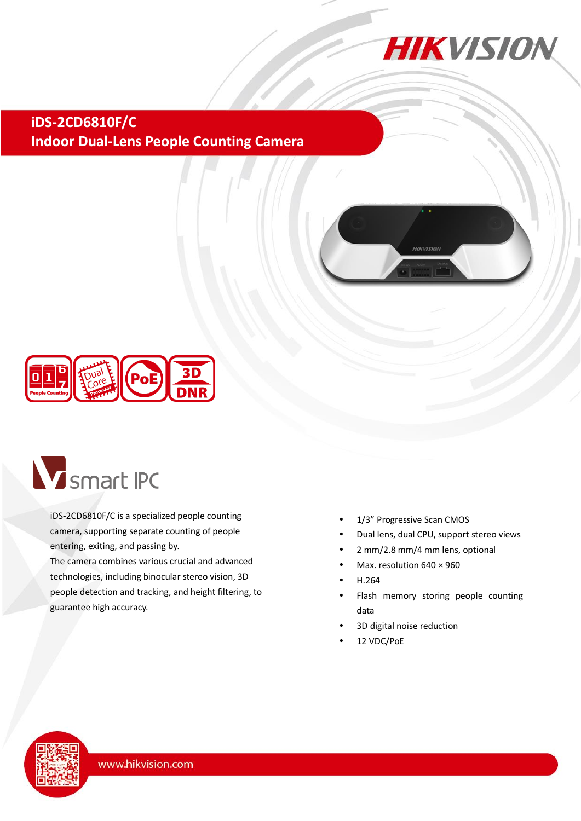

**iDS-2CD6810F/C Indoor Dual-Lens People Counting Camera**





# **V** smart IPC

iDS-2CD6810F/C is a specialized people counting camera, supporting separate counting of people entering, exiting, and passing by.

The camera combines various crucial and advanced technologies, including binocular stereo vision, 3D people detection and tracking, and height filtering, to guarantee high accuracy.

- 1/3" Progressive Scan CMOS
- Dual lens, dual CPU, support stereo views
- 2 mm/2.8 mm/4 mm lens, optional
- Max. resolution 640 × 960
- H.264
- Flash memory storing people counting data
- 3D digital noise reduction
- 12 VDC/PoE

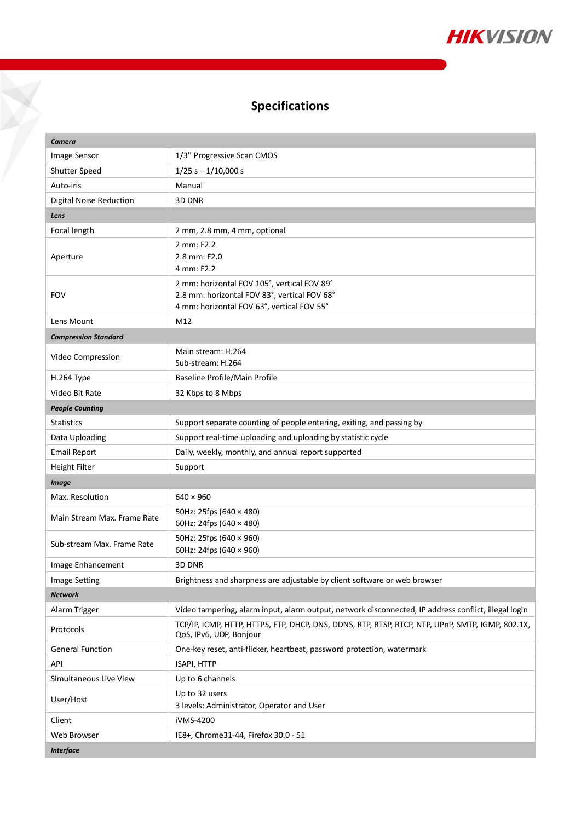

# **Specifications**

Y

| Camera                         |                                                                                                                                           |  |
|--------------------------------|-------------------------------------------------------------------------------------------------------------------------------------------|--|
| Image Sensor                   | 1/3" Progressive Scan CMOS                                                                                                                |  |
| Shutter Speed                  | $1/25 s - 1/10,000 s$                                                                                                                     |  |
| Auto-iris                      | Manual                                                                                                                                    |  |
| <b>Digital Noise Reduction</b> | 3D DNR                                                                                                                                    |  |
| Lens                           |                                                                                                                                           |  |
| Focal length                   | 2 mm, 2.8 mm, 4 mm, optional                                                                                                              |  |
| Aperture                       | 2 mm: F2.2<br>2.8 mm: F2.0<br>4 mm: F2.2                                                                                                  |  |
| <b>FOV</b>                     | 2 mm: horizontal FOV 105°, vertical FOV 89°<br>2.8 mm: horizontal FOV 83°, vertical FOV 68°<br>4 mm: horizontal FOV 63°, vertical FOV 55° |  |
| Lens Mount                     | M12                                                                                                                                       |  |
| <b>Compression Standard</b>    |                                                                                                                                           |  |
| Video Compression              | Main stream: H.264<br>Sub-stream: H.264                                                                                                   |  |
| H.264 Type                     | Baseline Profile/Main Profile                                                                                                             |  |
| Video Bit Rate                 | 32 Kbps to 8 Mbps                                                                                                                         |  |
| <b>People Counting</b>         |                                                                                                                                           |  |
| <b>Statistics</b>              | Support separate counting of people entering, exiting, and passing by                                                                     |  |
| Data Uploading                 | Support real-time uploading and uploading by statistic cycle                                                                              |  |
| <b>Email Report</b>            | Daily, weekly, monthly, and annual report supported                                                                                       |  |
| Height Filter                  | Support                                                                                                                                   |  |
| <b>Image</b>                   |                                                                                                                                           |  |
| Max. Resolution                | $640 \times 960$                                                                                                                          |  |
| Main Stream Max. Frame Rate    | 50Hz: 25fps (640 × 480)<br>60Hz: 24fps (640 × 480)                                                                                        |  |
| Sub-stream Max. Frame Rate     | 50Hz: 25fps (640 × 960)<br>60Hz: 24fps (640 × 960)                                                                                        |  |
| Image Enhancement              | 3D DNR                                                                                                                                    |  |
| <b>Image Setting</b>           | Brightness and sharpness are adjustable by client software or web browser                                                                 |  |
| <b>Network</b>                 |                                                                                                                                           |  |
| Alarm Trigger                  | Video tampering, alarm input, alarm output, network disconnected, IP address conflict, illegal login                                      |  |
| Protocols                      | TCP/IP, ICMP, HTTP, HTTPS, FTP, DHCP, DNS, DDNS, RTP, RTSP, RTCP, NTP, UPnP, SMTP, IGMP, 802.1X,<br>QoS, IPv6, UDP, Bonjour               |  |
| <b>General Function</b>        | One-key reset, anti-flicker, heartbeat, password protection, watermark                                                                    |  |
| API                            | ISAPI, HTTP                                                                                                                               |  |
| Simultaneous Live View         | Up to 6 channels                                                                                                                          |  |
| User/Host                      | Up to 32 users<br>3 levels: Administrator, Operator and User                                                                              |  |
| Client                         | iVMS-4200                                                                                                                                 |  |
| Web Browser                    | IE8+, Chrome31-44, Firefox 30.0 - 51                                                                                                      |  |
| <b>Interface</b>               |                                                                                                                                           |  |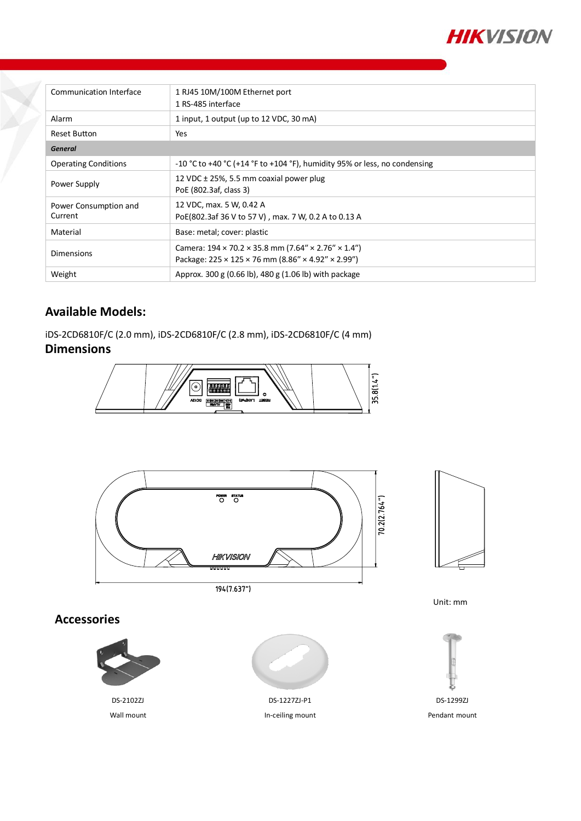

| Communication Interface          | 1 RJ45 10M/100M Ethernet port<br>1 RS-485 interface                                                                                                           |
|----------------------------------|---------------------------------------------------------------------------------------------------------------------------------------------------------------|
| Alarm                            | 1 input, 1 output (up to 12 VDC, 30 mA)                                                                                                                       |
| <b>Reset Button</b>              | Yes                                                                                                                                                           |
| <b>General</b>                   |                                                                                                                                                               |
| <b>Operating Conditions</b>      | -10 °C to +40 °C (+14 °F to +104 °F), humidity 95% or less, no condensing                                                                                     |
| Power Supply                     | 12 VDC $\pm$ 25%, 5.5 mm coaxial power plug<br>PoE (802.3af, class 3)                                                                                         |
| Power Consumption and<br>Current | 12 VDC, max. 5 W, 0.42 A<br>PoE(802.3af 36 V to 57 V), max. 7 W, 0.2 A to 0.13 A                                                                              |
| Material                         | Base: metal; cover: plastic                                                                                                                                   |
| <b>Dimensions</b>                | Camera: $194 \times 70.2 \times 35.8$ mm (7.64" $\times$ 2.76" $\times$ 1.4")<br>Package: $225 \times 125 \times 76$ mm (8.86" $\times$ 4.92" $\times$ 2.99") |
| Weight                           | Approx. 300 g (0.66 lb), 480 g (1.06 lb) with package                                                                                                         |

### **Available Models:**

iDS-2CD6810F/C (2.0 mm), iDS-2CD6810F/C (2.8 mm), iDS-2CD6810F/C (4 mm)

## **Dimensions**





194(7.637")

Unit: mm

#### **Accessories**





DS-1227ZJ-P1 In-ceiling mount



Pendant mount